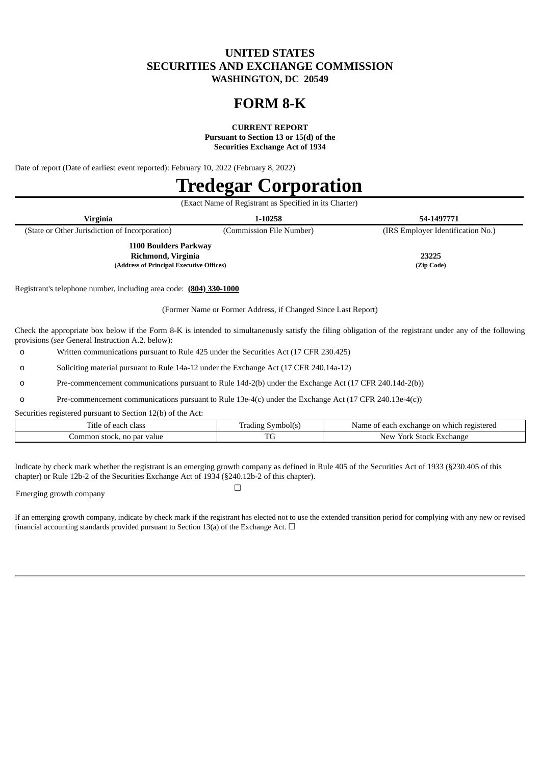# **UNITED STATES SECURITIES AND EXCHANGE COMMISSION WASHINGTON, DC 20549**

# **FORM 8-K**

**CURRENT REPORT**

**Pursuant to Section 13 or 15(d) of the Securities Exchange Act of 1934**

Date of report (Date of earliest event reported): February 10, 2022 (February 8, 2022)

# **Tredegar Corporation**

|                                          | (Exact Name of Registrant as Specified in its Charter) |                          |                                   |  |  |  |
|------------------------------------------|--------------------------------------------------------|--------------------------|-----------------------------------|--|--|--|
|                                          | Virginia                                               | 1-10258                  | 54-1497771                        |  |  |  |
|                                          | (State or Other Jurisdiction of Incorporation)         | (Commission File Number) | (IRS Employer Identification No.) |  |  |  |
| 1100 Boulders Parkway                    |                                                        |                          |                                   |  |  |  |
| Richmond, Virginia                       |                                                        | 23225                    |                                   |  |  |  |
| (Address of Principal Executive Offices) |                                                        | (Zip Code)               |                                   |  |  |  |

Registrant's telephone number, including area code: **(804) 330-1000**

(Former Name or Former Address, if Changed Since Last Report)

Check the appropriate box below if the Form 8-K is intended to simultaneously satisfy the filing obligation of the registrant under any of the following provisions (*see* General Instruction A.2. below):

o Written communications pursuant to Rule 425 under the Securities Act (17 CFR 230.425)

o Soliciting material pursuant to Rule 14a-12 under the Exchange Act (17 CFR 240.14a-12)

o Pre-commencement communications pursuant to Rule 14d-2(b) under the Exchange Act (17 CFR 240.14d-2(b))

o Pre-commencement communications pursuant to Rule 13e-4(c) under the Exchange Act (17 CFR 240.13e-4(c))

Securities registered pursuant to Section 12(b) of the Act:

| class<br>11tle<br>v                                     | Trading<br>nbolís | eacl<br>ı registered<br>. Jame<br>exchange<br>which<br>-on |
|---------------------------------------------------------|-------------------|------------------------------------------------------------|
| $\sim$ $\sim$<br>יורח<br>ommon<br>' value<br>ouu n.<br> | $\mathbf{m}$      | New<br>Exchange<br>$\sqrt{2}$<br>.stock                    |

Indicate by check mark whether the registrant is an emerging growth company as defined in Rule 405 of the Securities Act of 1933 (§230.405 of this chapter) or Rule 12b-2 of the Securities Exchange Act of 1934 (§240.12b-2 of this chapter).

Emerging growth company

If an emerging growth company, indicate by check mark if the registrant has elected not to use the extended transition period for complying with any new or revised financial accounting standards provided pursuant to Section 13(a) of the Exchange Act.  $\Box$ 

☐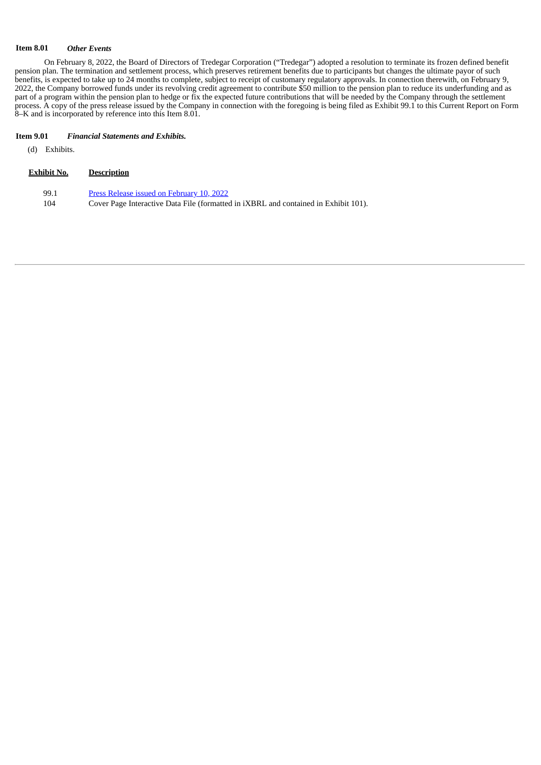#### **Item 8.01** *Other Events*

On February 8, 2022, the Board of Directors of Tredegar Corporation ("Tredegar") adopted a resolution to terminate its frozen defined benefit pension plan. The termination and settlement process, which preserves retirement benefits due to participants but changes the ultimate payor of such benefits, is expected to take up to 24 months to complete, subject to receipt of customary regulatory approvals. In connection therewith, on February 9, 2022, the Company borrowed funds under its revolving credit agreement to contribute \$50 million to the pension plan to reduce its underfunding and as part of a program within the pension plan to hedge or fix the expected future contributions that will be needed by the Company through the settlement process. A copy of the press release issued by the Company in connection with the foregoing is being filed as Exhibit 99.1 to this Current Report on Form 8–K and is incorporated by reference into this Item 8.01.

# **Item 9.01** *Financial Statements and Exhibits.*

**Exhibit No. Description**

(d) Exhibits.

| 99.1 | Press Release issued on February 10, 2022                                                  |
|------|--------------------------------------------------------------------------------------------|
| 104  | Cover Page Interactive Data File (formatted in <i>iXBRL</i> and contained in Exhibit 101). |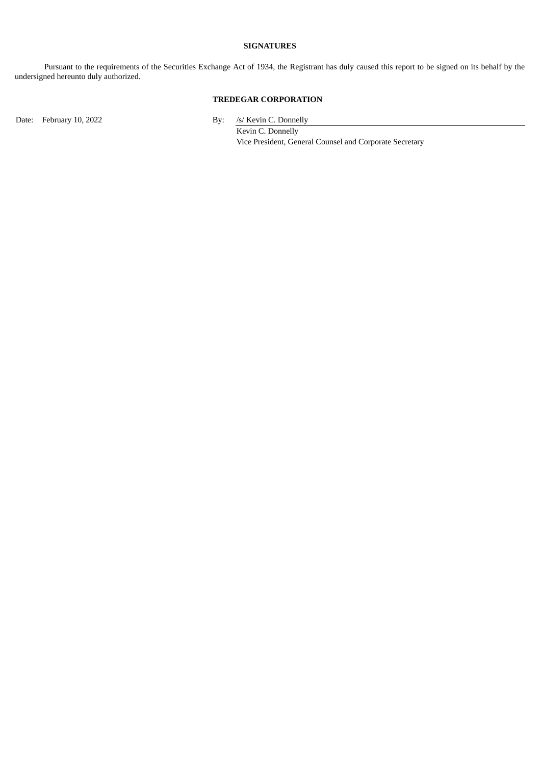### **SIGNATURES**

Pursuant to the requirements of the Securities Exchange Act of 1934, the Registrant has duly caused this report to be signed on its behalf by the undersigned hereunto duly authorized.

# **TREDEGAR CORPORATION**

Date: February 10, 2022 By: /s/ Kevin C. Donnelly

Kevin C. Donnelly Vice President, General Counsel and Corporate Secretary